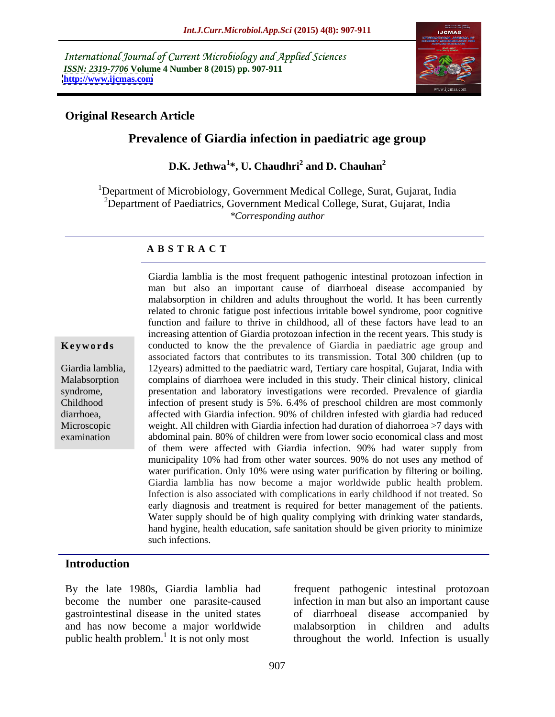International Journal of Current Microbiology and Applied Sciences *ISSN: 2319-7706* **Volume 4 Number 8 (2015) pp. 907-911 <http://www.ijcmas.com>**



## **Original Research Article**

# **Prevalence of Giardia infection in paediatric age group**

 $\mathbf{D}.\mathbf{K}.$   $\mathbf{Jethwa}^{1*}, \mathbf{U}.$   $\mathbf{Chaudhri}^{2}$  and  $\mathbf{D}.$   $\mathbf{Chauhan}^{2}$  **and D. Chauhan<sup>2</sup>**

<sup>1</sup>Department of Microbiology, Government Medical College, Surat, Gujarat, India <sup>2</sup>Department of Paediatrics, Government Medical College, Surat, Gujarat, India *\*Corresponding author*

#### **A B S T R A C T**

examination

man but also an important cause of diarrhoeal disease accompanied by malabsorption in children and adults throughout the world. It has been currently related to chronic fatigue post infectious irritable bowel syndrome, poor cognitive function and failure to thrive in childhood, all of these factors have lead to an increasing attention of Giardia protozoan infection in the recent years. This study is **Keywords** conducted to know the the prevalence of Giardia in paediatric age group and associated factors that contributes to its transmission. Total 300 children (up to 12years) admitted to the paediatric ward, Tertiary care hospital, Gujarat, India with Giardia lamblia, complains of diarrhoea were included in this study. Their clinical history, clinical Malabsorption syndrome, **presentation and laboratory investigations** were recorded. Prevalence of giardia infection of present study is 5%. 6.4% of preschool children are most commonly Childhood affected with Giardia infection. 90% of children infested with giardia had reduced diarrhoea, weight. All children with Giardia infection had duration of diahorroea >7 days with Microscopic abdominal pain. 80% of children were from lower socio economical class and most of them were affected with Giardia infection. 90% had water supply from municipality 10% had from other water sources. 90% do not uses any method of water purification. Only 10% were using water purification by filtering or boiling. Giardia lamblia has now become a major worldwide public health problem. Infection is also associated with complications in early childhood if not treated. So early diagnosis and treatment is required for better management of the patients. Water supply should be of high quality complying with drinking water standards, hand hygine, health education, safe sanitation should be given priority to minimize such infections.

Giardia lamblia is the most frequent pathogenic intestinal protozoan infection in

#### **Introduction**

By the late 1980s, Giardia lamblia had frequent pathogenic intestinal protozoan become the number one parasite-caused gastrointestinal disease in the united states of diarrhoeal disease accompanied by and has now become a major worldwide public health problem.<sup>1</sup> It is not only most

It is not only most throughout the world. Infection is usually infection in man but also an important cause malabsorption in children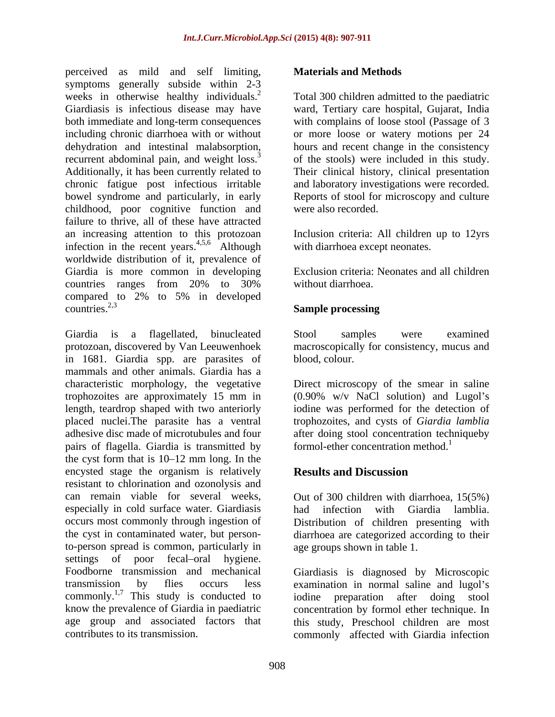perceived as mild and self limiting, symptoms generally subside within 2-3 weeks in otherwise healthy individuals.<sup>2</sup> weeks in otherwise healthy individuals.<sup>2</sup> Total 300 children admitted to the paediatric<br>Giardiasis is infectious disease may have vard, Tertiary care hospital, Gujarat, India both immediate and long-term consequences with complains of loose stool (Passage of 3 including chronic diarrhoea with or without or more loose or watery motions per 24 dehydration and intestinal malabsorption, hours and recent change in the consistency recurrent abdominal pain, and weight loss.<sup>3</sup><br>Additionally, it has been currently related to Additionally, it has been currently related to Their clinical history, clinical presentation chronic fatigue post infectious irritable and laboratory investigations were recorded. bowel syndrome and particularly, in early Reports of stool for microscopy and culture childhood, poor cognitive function and failure to thrive, all of these have attracted an increasing attention to this protozoan Inclusion criteria: All children up to 12yrs infection in the recent years.<sup>4,5,6</sup> Although worldwide distribution of it, prevalence of Giardia is more common in developing countries ranges from 20% to 30% compared to 2% to 5% in developed countries.<sup>2,3</sup>  $\sum_{n=1}^{\infty}$  countries.<sup>2,3</sup>

Giardia is a flagellated, binucleated Stool samples were examined protozoan, discovered by Van Leeuwenhoek in 1681. Giardia spp. are parasites of mammals and other animals. Giardia has a characteristic morphology, the vegetative Direct microscopy of the smear in saline trophozoites are approximately 15 mm in (0.90% w/v NaCl solution) and Lugol's length, teardrop shaped with two anteriorly iodine was performed for the detection of placed nuclei.The parasite has a ventral trophozoites, and cysts of *Giardia lamblia* adhesive disc made of microtubules and four after doing stool concentration techniqueby pairs of flagella. Giardia is transmitted by the cyst form that is  $10-12$  mm long. In the encysted stage the organism is relatively **Results and Discussion** resistant to chlorination and ozonolysis and can remain viable for several weeks, Out of 300 children with diarrhoea, 15(5%) especially in cold surface water. Giardiasis had infection with Giardia lamblia. occurs most commonly through ingestion of Distribution of children presenting with the cyst in contaminated water, but person-diarrhoea are categorized according to their to-person spread is common, particularly in settings of poor fecal-oral hygiene. Foodborne transmission and mechanical Giardiasis is diagnosed by Microscopic transmission by flies occurs less examination in normal saline and lugol's  $\frac{1}{7}$  commonly.<sup>1,7</sup> This study is conducted to idine preparation after doing stool know the prevalence of Giardia in paediatric concentration by formol ether technique. In age group and associated factors that this study, Preschool children are most

### **Materials and Methods**

Total 300 children admitted to the paediatric ward, Tertiary care hospital, Gujarat, India of the stools) were included in this study. were also recorded.

with diarrhoea except neonates.

Exclusion criteria: Neonates and all children without diarrhoea.

## **Sample processing**

Stool samples were examined macroscopically for consistency, mucus and blood, colour.

formol-ether concentration method.<sup>1</sup>

# **Results and Discussion**

age groups shown in table 1.

contributes to its transmission. commonly affected with Giardia infectioniodine preparation after doing stool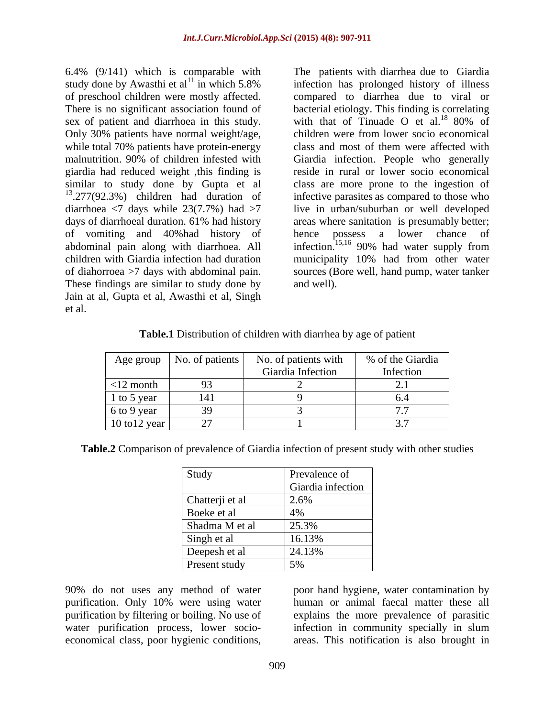6.4% (9/141) which is comparable with study done by Awasthi et  $al<sup>11</sup>$  in which 5.8% sex of patient and diarrhoea in this study. With that of Tinuade O et al.<sup>18</sup> 80% of Only 30% patients have normal weight/age, while total 70% patients have protein-energy class and most of them were affected with giardia had reduced weight ,this finding is similar to study done by Gupta et al of vomiting and 40%had history of These findings are similar to study done by and well). Jain at al, Gupta et al, Awasthi et al, Singh et al.

of preschool children were mostly affected. compared to diarrhea due to viral or There is no significant association found of bacterial etiology. This finding is correlating malnutrition. 90% of children infested with Giardia infection. People who generally <sup>13</sup>.277(92.3%) children had duration of infective parasites as compared to those who diarrhoea <7 days while 23(7.7%) had >7 live in urban/suburban or well developed days of diarrhoeal duration. 61% had history areas where sanitation is presumably better; abdominal pain along with diarrhoea. All infection.<sup>15,16</sup> 90% had water supply from children with Giardia infection had duration municipality 10% had from other water of diahorroea >7 days with abdominal pain. sources (Bore well, hand pump, water tanker The patients with diarrhea due to Giardia infection has prolonged history of illness with that of Tinuade O et al. $18\,80\%$  of children were from lower socio economical class and most of them were affected with reside in rural or lower socio economical class are more prone to the ingestion of infective parasites as compared to those who areas where sanitation is presumably better; hence possess a lower chance of and well).

| Table.<br>$\sim$<br>$\ldots$ cn with $\dim$<br>children<br>a diarrhea by<br>age of patient<br>$D$ <sub>1</sub> strib<br>stribution |  |  |  |
|------------------------------------------------------------------------------------------------------------------------------------|--|--|--|
|------------------------------------------------------------------------------------------------------------------------------------|--|--|--|

|                 | Age group   No. of patients | No. of patients with | % of the Giardia |
|-----------------|-----------------------------|----------------------|------------------|
|                 |                             | Giardia Infection    | Infection        |
| $<$ 12 month    | $\sim$<br>u≺                |                      |                  |
| 1 to 5 year     | 1.41<br>141                 |                      |                  |
| $6$ to 9 year   |                             |                      |                  |
| $10$ to 12 year |                             |                      | $\sim\cdot$ , ,  |

| <b>Table.2</b> Comparison of prevalence of Giardia infection of present study with other studies |  |
|--------------------------------------------------------------------------------------------------|--|
|                                                                                                  |  |

| Study           | <b>Prevalence of</b>             |
|-----------------|----------------------------------|
|                 | Giardia infection                |
| Chatterji et al | 2.6%                             |
| Boeke et al     | $A \Omega$<br>$+70$              |
| Shadma M et al  | 25.3%                            |
| Singh et al     | 16.13%                           |
| Deepesh et al   | $24.13\%$                        |
| Present study   | $\epsilon$ 0/<br>$\cup$ / $\cup$ |

90% do not uses any method of water poor hand hygiene, water contamination by purification. Only 10% were using water human or animal faecal matter these all purification by filtering or boiling. No use of explains the more prevalence of parasitic water purification process, lower socio- infection in community specially in slum

90% do not uses any method of water<br>purification. Only 10% were using water<br>purification by filtering or boiling. No use of<br>water purification process, lower socio-<br>economical class, poor hygienic conditions,<br>areas. This n areas. This notification is also brought in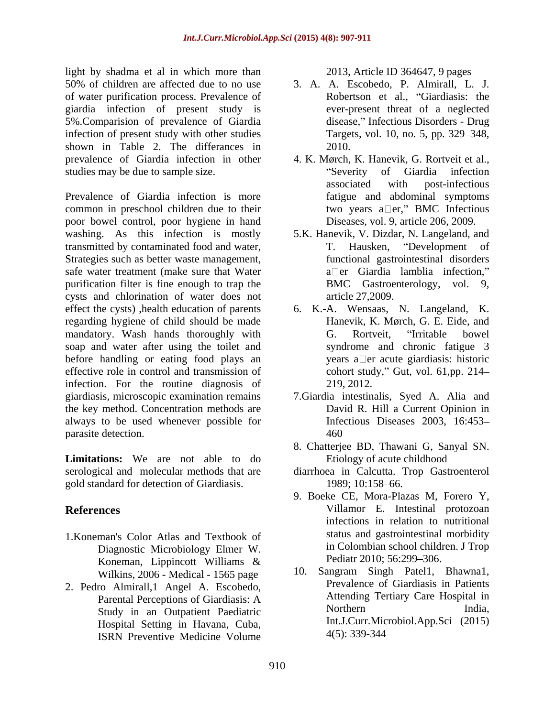light by shadma et al in which more than 50% of children are affected due to no use 3. A. A. Escobedo, P. Almirall, L. J. of water purification process. Prevalence of giardia infection of present study is 5%.Comparision of prevalence of Giardia infection of present study with other studies shown in Table 2. The differances in 2010. prevalence of Giardia infection in other 4. K. Mørch, K. Hanevik, G. Rortveit et al., studies may be due to sample size. The contract of the studies may be due to sample size.

Prevalence of Giardia infection is more common in preschool children due to their poor bowel control, poor hygiene in hand washing. As this infection is mostly 5.K. Hanevik, V. Dizdar, N. Langeland, and transmitted by contaminated food and water, T. Hausken, "Development of Strategies such as better waste management, safe water treatment (make sure that Water purification filter is fine enough to trap the cysts and chlorination of water does not effect the cysts) ,health education of parents 6. K.-A. Wensaas, N. Langeland, K. regarding hygiene of child should be made mandatory. Wash hands thoroughly with G. Rortveit, "Irritable bowel soap and water after using the toilet and before handling or eating food plays an effective role in control and transmission of infection. For the routine diagnosis of 219, 2012. giardiasis, microscopic examination remains 7.Giardia intestinalis, Syed A. Alia and the key method. Concentration methods are always to be used whenever possible for parasite detection. 460

**Limitations:** We are not able to do serological and molecular methods that are diarrhoea in Calcutta. Trop Gastroenterol gold standard for detection of Giardiasis. 1989; 10:158-66.

- 1.Koneman's Color Atlas and Textbook of Diagnostic Microbiology Elmer W.<br>
Example 1 inning to the United States of Pediatr 2010: 56:299–306. Koneman, Lippincott Williams  $\&$  Pediatr 2010; 56:299–306. Wilkins, 2006 - Medical - 1565 page
- 2. Pedro Almirall,1 Angel A. Escobedo, Hospital Setting in Havana, Cuba, ISRN Preventive Medicine Volume  $4(5)$ :  $339-344$

2013, Article ID 364647, 9 pages

- Robertson et al., "Giardiasis: the ever-present threat of a neglected disease," Infectious Disorders - Drug Targets, vol. 10, no. 5, pp. 329–348, 2010.
- Severity of Giardia infection associated with post-infectious fatigue and abdominal symptoms two years  $a \Box er$ ," BMC Infectious Diseases, vol. 9, article 206, 2009.
- T. Hausken, "Development of functional gastrointestinal disorders  $a \Box$ er Giardia lamblia infection." BMC Gastroenterology, vol. 9, article 27,2009.
- Hanevik, K. Mørch, G. E. Eide, and G. Rortveit, "Irritable bowel syndrome and chronic fatigue 3 years a $\square$ er acute giardiasis: historic cohort study," Gut, vol.  $61$ ,pp.  $214-$ 219, 2012.
- David R. Hill a Current Opinion in Infectious Diseases 2003, 16:453 460
- 8. Chatterjee BD, Thawani G, Sanyal SN. Etiology of acute childhood
- 1989; 10:158–66.
- **References** Villamor E. Intestinal protozoan 9. Boeke CE, Mora-Plazas M, Forero Y, infections in relation to nutritional status and gastrointestinal morbidity in Colombian school children. J Trop Pediatr 2010; 56:299–306.
	- Parental Perceptions of Giardiasis: A **Attending Tertiary Care Hospital in** Study in an Outpatient Paediatric Northern India, 10. Sangram Singh Patel1, Bhawna1, Prevalence of Giardiasis in Patients Attending Tertiary Care Hospital in Northern India, Int.J.Curr.Microbiol.App.Sci (2015) 4(5): 339-344